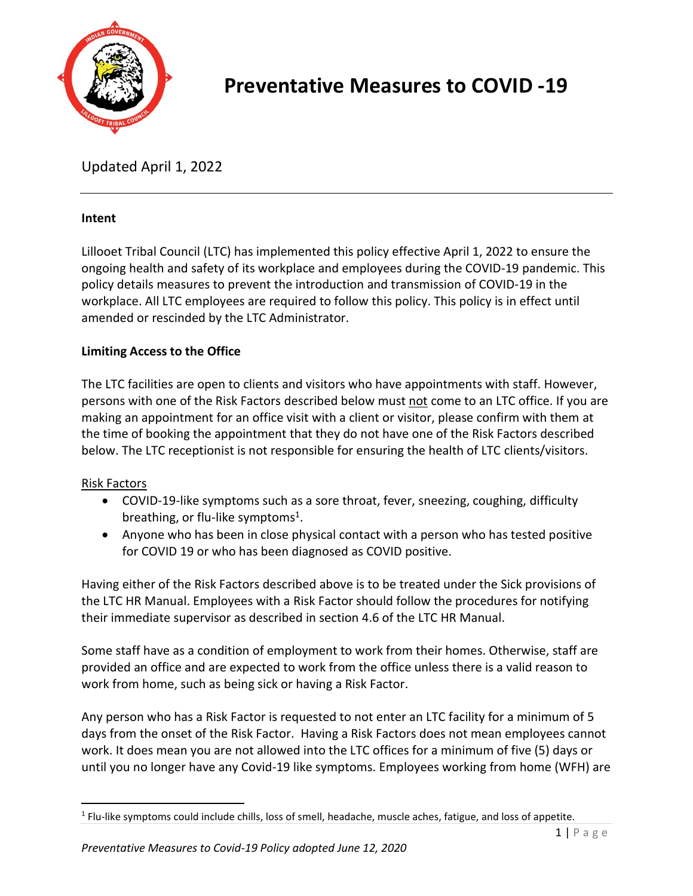

# **Preventative Measures to COVID -19**

Updated April 1, 2022

## **Intent**

Lillooet Tribal Council (LTC) has implemented this policy effective April 1, 2022 to ensure the ongoing health and safety of its workplace and employees during the COVID-19 pandemic. This policy details measures to prevent the introduction and transmission of COVID-19 in the workplace. All LTC employees are required to follow this policy. This policy is in effect until amended or rescinded by the LTC Administrator.

## **Limiting Access to the Office**

The LTC facilities are open to clients and visitors who have appointments with staff. However, persons with one of the Risk Factors described below must not come to an LTC office. If you are making an appointment for an office visit with a client or visitor, please confirm with them at the time of booking the appointment that they do not have one of the Risk Factors described below. The LTC receptionist is not responsible for ensuring the health of LTC clients/visitors.

## Risk Factors

- COVID-19-like symptoms such as a sore throat, fever, sneezing, coughing, difficulty breathing, or flu-like symptoms<sup>1</sup>.
- Anyone who has been in close physical contact with a person who has tested positive for COVID 19 or who has been diagnosed as COVID positive.

Having either of the Risk Factors described above is to be treated under the Sick provisions of the LTC HR Manual. Employees with a Risk Factor should follow the procedures for notifying their immediate supervisor as described in section 4.6 of the LTC HR Manual.

Some staff have as a condition of employment to work from their homes. Otherwise, staff are provided an office and are expected to work from the office unless there is a valid reason to work from home, such as being sick or having a Risk Factor.

Any person who has a Risk Factor is requested to not enter an LTC facility for a minimum of 5 days from the onset of the Risk Factor. Having a Risk Factors does not mean employees cannot work. It does mean you are not allowed into the LTC offices for a minimum of five (5) days or until you no longer have any Covid-19 like symptoms. Employees working from home (WFH) are

<sup>&</sup>lt;sup>1</sup> Flu-like symptoms could include chills, loss of smell, headache, muscle aches, fatigue, and loss of appetite.